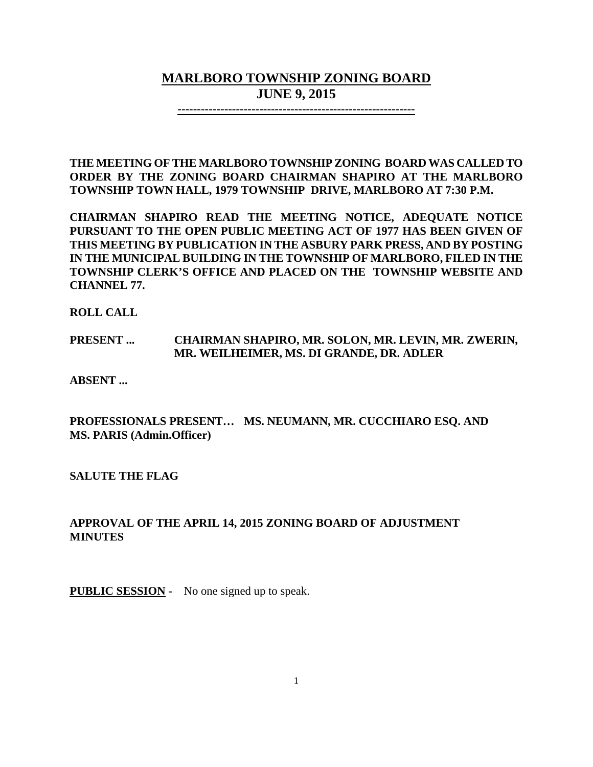# **MARLBORO TOWNSHIP ZONING BOARD JUNE 9, 2015**

**-------------------------------------------------------------**

**THE MEETING OF THE MARLBORO TOWNSHIP ZONING BOARD WAS CALLED TO ORDER BY THE ZONING BOARD CHAIRMAN SHAPIRO AT THE MARLBORO TOWNSHIP TOWN HALL, 1979 TOWNSHIP DRIVE, MARLBORO AT 7:30 P.M.**

**CHAIRMAN SHAPIRO READ THE MEETING NOTICE, ADEQUATE NOTICE PURSUANT TO THE OPEN PUBLIC MEETING ACT OF 1977 HAS BEEN GIVEN OF THIS MEETING BY PUBLICATION IN THE ASBURY PARK PRESS, AND BY POSTING IN THE MUNICIPAL BUILDING IN THE TOWNSHIP OF MARLBORO, FILED IN THE TOWNSHIP CLERK'S OFFICE AND PLACED ON THE TOWNSHIP WEBSITE AND CHANNEL 77.**

**ROLL CALL**

## **PRESENT ... CHAIRMAN SHAPIRO, MR. SOLON, MR. LEVIN, MR. ZWERIN, MR. WEILHEIMER, MS. DI GRANDE, DR. ADLER**

**ABSENT ...**

## **PROFESSIONALS PRESENT… MS. NEUMANN, MR. CUCCHIARO ESQ. AND MS. PARIS (Admin.Officer)**

**SALUTE THE FLAG**

## **APPROVAL OF THE APRIL 14, 2015 ZONING BOARD OF ADJUSTMENT MINUTES**

**PUBLIC SESSION -** No one signed up to speak.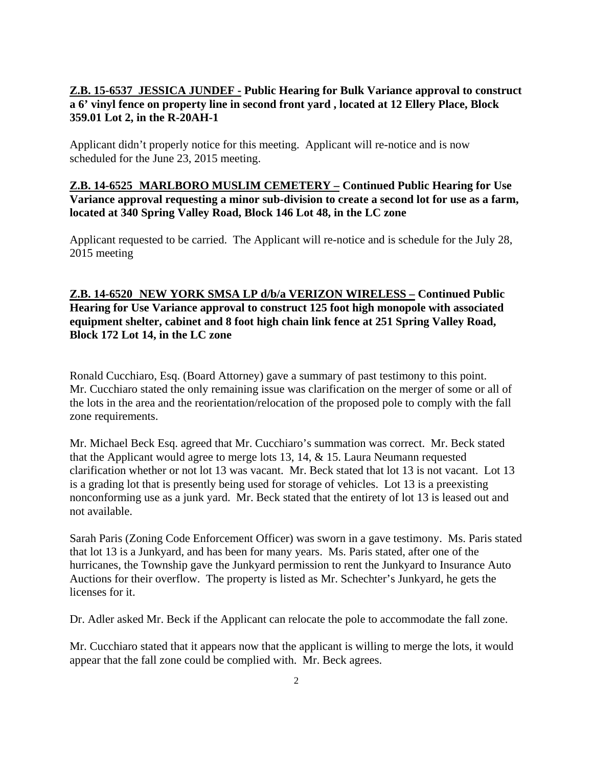## **Z.B. 15-6537 JESSICA JUNDEF - Public Hearing for Bulk Variance approval to construct a 6' vinyl fence on property line in second front yard , located at 12 Ellery Place, Block 359.01 Lot 2, in the R-20AH-1**

Applicant didn't properly notice for this meeting. Applicant will re-notice and is now scheduled for the June 23, 2015 meeting.

## **Z.B. 14-6525 MARLBORO MUSLIM CEMETERY – Continued Public Hearing for Use Variance approval requesting a minor sub-division to create a second lot for use as a farm, located at 340 Spring Valley Road, Block 146 Lot 48, in the LC zone**

Applicant requested to be carried. The Applicant will re-notice and is schedule for the July 28, 2015 meeting

## **Z.B. 14-6520 NEW YORK SMSA LP d/b/a VERIZON WIRELESS – Continued Public Hearing for Use Variance approval to construct 125 foot high monopole with associated equipment shelter, cabinet and 8 foot high chain link fence at 251 Spring Valley Road, Block 172 Lot 14, in the LC zone**

Ronald Cucchiaro, Esq. (Board Attorney) gave a summary of past testimony to this point. Mr. Cucchiaro stated the only remaining issue was clarification on the merger of some or all of the lots in the area and the reorientation/relocation of the proposed pole to comply with the fall zone requirements.

Mr. Michael Beck Esq. agreed that Mr. Cucchiaro's summation was correct. Mr. Beck stated that the Applicant would agree to merge lots 13, 14, & 15. Laura Neumann requested clarification whether or not lot 13 was vacant. Mr. Beck stated that lot 13 is not vacant. Lot 13 is a grading lot that is presently being used for storage of vehicles. Lot 13 is a preexisting nonconforming use as a junk yard. Mr. Beck stated that the entirety of lot 13 is leased out and not available.

Sarah Paris (Zoning Code Enforcement Officer) was sworn in a gave testimony. Ms. Paris stated that lot 13 is a Junkyard, and has been for many years. Ms. Paris stated, after one of the hurricanes, the Township gave the Junkyard permission to rent the Junkyard to Insurance Auto Auctions for their overflow. The property is listed as Mr. Schechter's Junkyard, he gets the licenses for it.

Dr. Adler asked Mr. Beck if the Applicant can relocate the pole to accommodate the fall zone.

Mr. Cucchiaro stated that it appears now that the applicant is willing to merge the lots, it would appear that the fall zone could be complied with. Mr. Beck agrees.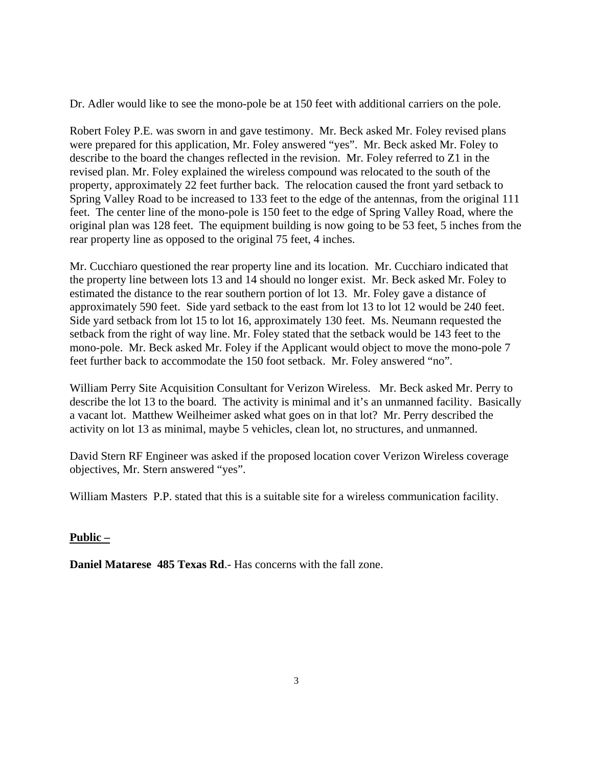Dr. Adler would like to see the mono-pole be at 150 feet with additional carriers on the pole.

Robert Foley P.E. was sworn in and gave testimony. Mr. Beck asked Mr. Foley revised plans were prepared for this application, Mr. Foley answered "yes". Mr. Beck asked Mr. Foley to describe to the board the changes reflected in the revision. Mr. Foley referred to Z1 in the revised plan. Mr. Foley explained the wireless compound was relocated to the south of the property, approximately 22 feet further back. The relocation caused the front yard setback to Spring Valley Road to be increased to 133 feet to the edge of the antennas, from the original 111 feet. The center line of the mono-pole is 150 feet to the edge of Spring Valley Road, where the original plan was 128 feet. The equipment building is now going to be 53 feet, 5 inches from the rear property line as opposed to the original 75 feet, 4 inches.

Mr. Cucchiaro questioned the rear property line and its location. Mr. Cucchiaro indicated that the property line between lots 13 and 14 should no longer exist. Mr. Beck asked Mr. Foley to estimated the distance to the rear southern portion of lot 13. Mr. Foley gave a distance of approximately 590 feet. Side yard setback to the east from lot 13 to lot 12 would be 240 feet. Side yard setback from lot 15 to lot 16, approximately 130 feet. Ms. Neumann requested the setback from the right of way line. Mr. Foley stated that the setback would be 143 feet to the mono-pole. Mr. Beck asked Mr. Foley if the Applicant would object to move the mono-pole 7 feet further back to accommodate the 150 foot setback. Mr. Foley answered "no".

William Perry Site Acquisition Consultant for Verizon Wireless. Mr. Beck asked Mr. Perry to describe the lot 13 to the board. The activity is minimal and it's an unmanned facility. Basically a vacant lot. Matthew Weilheimer asked what goes on in that lot? Mr. Perry described the activity on lot 13 as minimal, maybe 5 vehicles, clean lot, no structures, and unmanned.

David Stern RF Engineer was asked if the proposed location cover Verizon Wireless coverage objectives, Mr. Stern answered "yes".

William Masters P.P. stated that this is a suitable site for a wireless communication facility.

#### **Public –**

**Daniel Matarese 485 Texas Rd.**- Has concerns with the fall zone.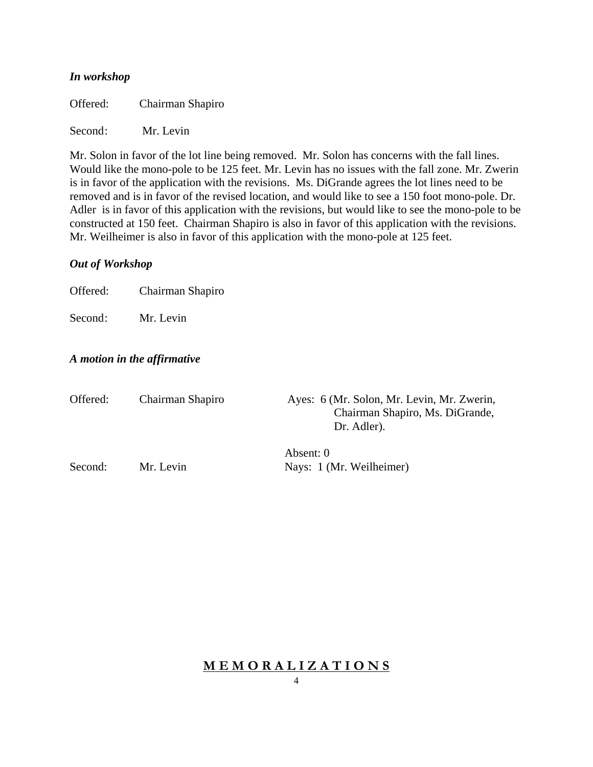#### *In workshop*

Offered: Chairman Shapiro

Second: Mr. Levin

Mr. Solon in favor of the lot line being removed. Mr. Solon has concerns with the fall lines. Would like the mono-pole to be 125 feet. Mr. Levin has no issues with the fall zone. Mr. Zwerin is in favor of the application with the revisions. Ms. DiGrande agrees the lot lines need to be removed and is in favor of the revised location, and would like to see a 150 foot mono-pole. Dr. Adler is in favor of this application with the revisions, but would like to see the mono-pole to be constructed at 150 feet. Chairman Shapiro is also in favor of this application with the revisions. Mr. Weilheimer is also in favor of this application with the mono-pole at 125 feet.

#### *Out of Workshop*

Offered: Chairman Shapiro

Second: Mr. Levin

## *A motion in the affirmative*

| Offered: | Chairman Shapiro | Ayes: 6 (Mr. Solon, Mr. Levin, Mr. Zwerin,<br>Chairman Shapiro, Ms. DiGrande,<br>Dr. Adler). |
|----------|------------------|----------------------------------------------------------------------------------------------|
| Second:  | Mr. Levin        | Absent: 0<br>Nays: 1 (Mr. Weilheimer)                                                        |

## **M E M O R A L I Z A T I O N S**